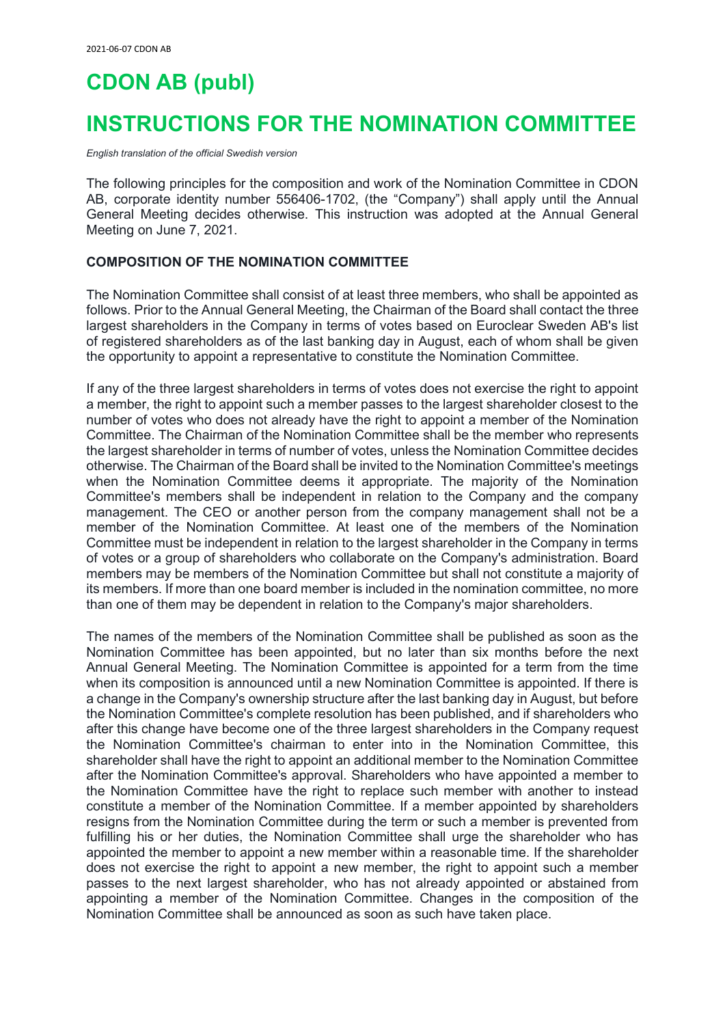# **CDON AB (publ)**

# **INSTRUCTIONS FOR THE NOMINATION COMMITTEE**

*English translation of the official Swedish version*

The following principles for the composition and work of the Nomination Committee in CDON AB, corporate identity number 556406-1702, (the "Company") shall apply until the Annual General Meeting decides otherwise. This instruction was adopted at the Annual General Meeting on June 7, 2021.

#### **COMPOSITION OF THE NOMINATION COMMITTEE**

The Nomination Committee shall consist of at least three members, who shall be appointed as follows. Prior to the Annual General Meeting, the Chairman of the Board shall contact the three largest shareholders in the Company in terms of votes based on Euroclear Sweden AB's list of registered shareholders as of the last banking day in August, each of whom shall be given the opportunity to appoint a representative to constitute the Nomination Committee.

If any of the three largest shareholders in terms of votes does not exercise the right to appoint a member, the right to appoint such a member passes to the largest shareholder closest to the number of votes who does not already have the right to appoint a member of the Nomination Committee. The Chairman of the Nomination Committee shall be the member who represents the largest shareholder in terms of number of votes, unless the Nomination Committee decides otherwise. The Chairman of the Board shall be invited to the Nomination Committee's meetings when the Nomination Committee deems it appropriate. The majority of the Nomination Committee's members shall be independent in relation to the Company and the company management. The CEO or another person from the company management shall not be a member of the Nomination Committee. At least one of the members of the Nomination Committee must be independent in relation to the largest shareholder in the Company in terms of votes or a group of shareholders who collaborate on the Company's administration. Board members may be members of the Nomination Committee but shall not constitute a majority of its members. If more than one board member is included in the nomination committee, no more than one of them may be dependent in relation to the Company's major shareholders.

The names of the members of the Nomination Committee shall be published as soon as the Nomination Committee has been appointed, but no later than six months before the next Annual General Meeting. The Nomination Committee is appointed for a term from the time when its composition is announced until a new Nomination Committee is appointed. If there is a change in the Company's ownership structure after the last banking day in August, but before the Nomination Committee's complete resolution has been published, and if shareholders who after this change have become one of the three largest shareholders in the Company request the Nomination Committee's chairman to enter into in the Nomination Committee, this shareholder shall have the right to appoint an additional member to the Nomination Committee after the Nomination Committee's approval. Shareholders who have appointed a member to the Nomination Committee have the right to replace such member with another to instead constitute a member of the Nomination Committee. If a member appointed by shareholders resigns from the Nomination Committee during the term or such a member is prevented from fulfilling his or her duties, the Nomination Committee shall urge the shareholder who has appointed the member to appoint a new member within a reasonable time. If the shareholder does not exercise the right to appoint a new member, the right to appoint such a member passes to the next largest shareholder, who has not already appointed or abstained from appointing a member of the Nomination Committee. Changes in the composition of the Nomination Committee shall be announced as soon as such have taken place.